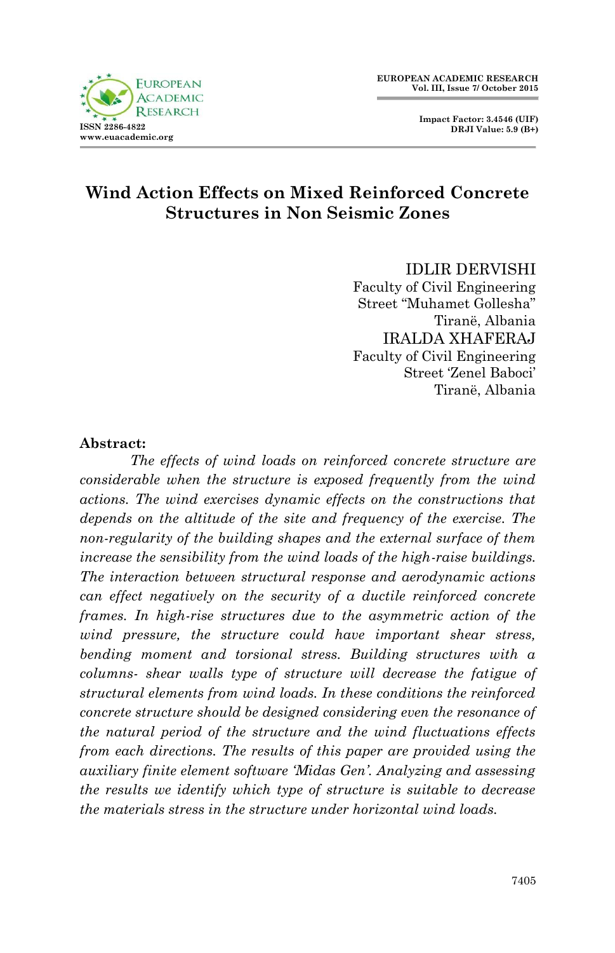**Impact Factor: 3.4546 (UIF) DRJI Value: 5.9 (B+)**

# **Wind Action Effects on Mixed Reinforced Concrete Structures in Non Seismic Zones**

IDLIR DERVISHI Faculty of Civil Engineering Street "Muhamet Gollesha" Tiranë, Albania IRALDA XHAFERAJ Faculty of Civil Engineering Street "Zenel Baboci" Tiranë, Albania

#### **Abstract:**

*The effects of wind loads on reinforced concrete structure are considerable when the structure is exposed frequently from the wind actions. The wind exercises dynamic effects on the constructions that depends on the altitude of the site and frequency of the exercise. The non-regularity of the building shapes and the external surface of them increase the sensibility from the wind loads of the high-raise buildings. The interaction between structural response and aerodynamic actions can effect negatively on the security of a ductile reinforced concrete frames. In high-rise structures due to the asymmetric action of the wind pressure, the structure could have important shear stress, bending moment and torsional stress. Building structures with a columns- shear walls type of structure will decrease the fatigue of structural elements from wind loads. In these conditions the reinforced concrete structure should be designed considering even the resonance of the natural period of the structure and the wind fluctuations effects from each directions. The results of this paper are provided using the auxiliary finite element software 'Midas Gen'. Analyzing and assessing the results we identify which type of structure is suitable to decrease the materials stress in the structure under horizontal wind loads.* 

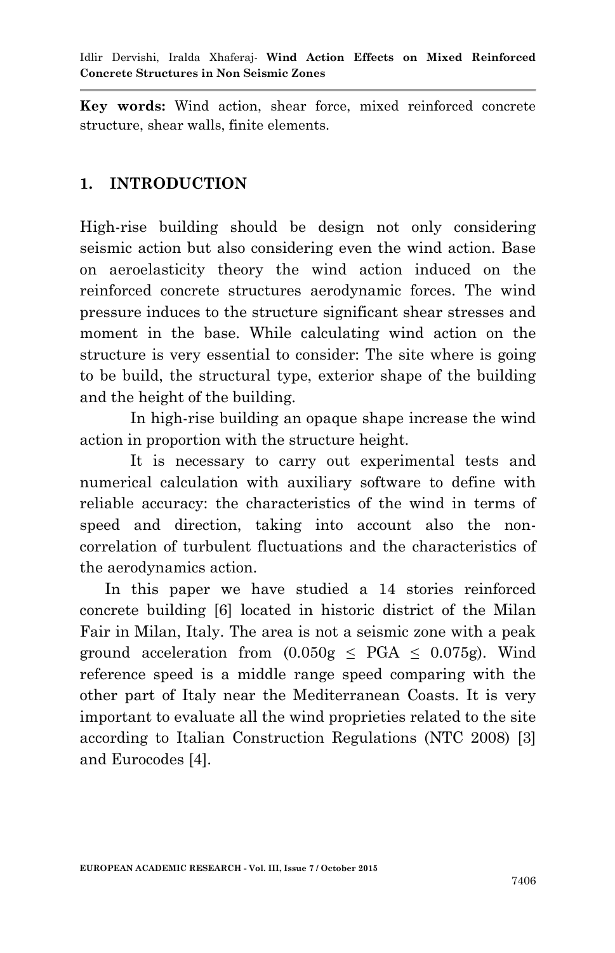**Key words:** Wind action, shear force, mixed reinforced concrete structure, shear walls, finite elements.

# **1. INTRODUCTION**

High-rise building should be design not only considering seismic action but also considering even the wind action. Base on aeroelasticity theory the wind action induced on the reinforced concrete structures aerodynamic forces. The wind pressure induces to the structure significant shear stresses and moment in the base. While calculating wind action on the structure is very essential to consider: The site where is going to be build, the structural type, exterior shape of the building and the height of the building.

In high-rise building an opaque shape increase the wind action in proportion with the structure height.

It is necessary to carry out experimental tests and numerical calculation with auxiliary software to define with reliable accuracy: the characteristics of the wind in terms of speed and direction, taking into account also the noncorrelation of turbulent fluctuations and the characteristics of the aerodynamics action.

In this paper we have studied a 14 stories reinforced concrete building [6] located in historic district of the Milan Fair in Milan, Italy. The area is not a seismic zone with a peak ground acceleration from  $(0.050g \leq PGA \leq 0.075g)$ . Wind reference speed is a middle range speed comparing with the other part of Italy near the Mediterranean Coasts. It is very important to evaluate all the wind proprieties related to the site according to Italian Construction Regulations (NTC 2008) [3] and Eurocodes [4].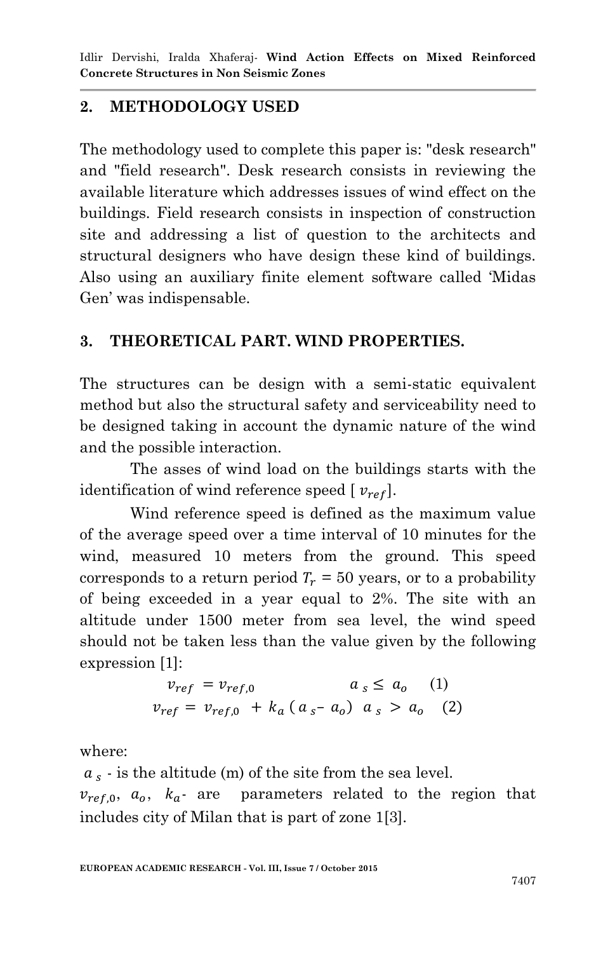# **2. METHODOLOGY USED**

The methodology used to complete this paper is: "desk research" and "field research". Desk research consists in reviewing the available literature which addresses issues of wind effect on the buildings. Field research consists in inspection of construction site and addressing a list of question to the architects and structural designers who have design these kind of buildings. Also using an auxiliary finite element software called "Midas Gen" was indispensable.

## **3. THEORETICAL PART. WIND PROPERTIES.**

The structures can be design with a semi-static equivalent method but also the structural safety and serviceability need to be designed taking in account the dynamic nature of the wind and the possible interaction.

The asses of wind load on the buildings starts with the identification of wind reference speed  $[v_{ref}].$ 

Wind reference speed is defined as the maximum value of the average speed over a time interval of 10 minutes for the wind, measured 10 meters from the ground. This speed corresponds to a return period  $T_r = 50$  years, or to a probability of being exceeded in a year equal to 2%. The site with an altitude under 1500 meter from sea level, the wind speed should not be taken less than the value given by the following expression [1]:

$$
v_{ref} = v_{ref,0} \t a_s \le a_o \t (1)
$$
  

$$
v_{ref} = v_{ref,0} + k_a (a_s - a_o) a_s > a_o \t (2)
$$

where:

 $a_s$  - is the altitude (m) of the site from the sea level.  $v_{ref,0}$ ,  $a_0$ ,  $k_a$  are parameters related to the region that includes city of Milan that is part of zone 1[3].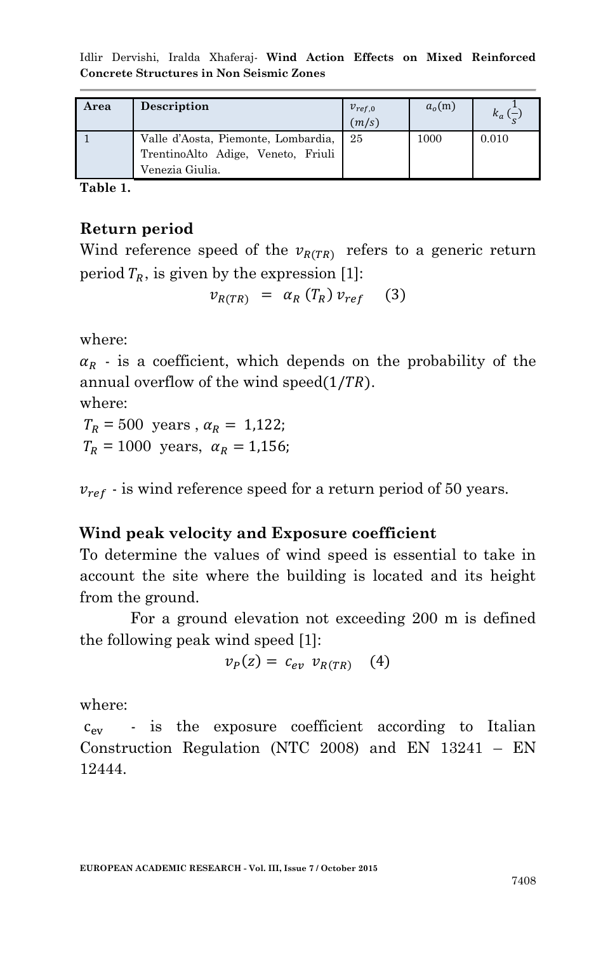Idlir Dervishi, Iralda Xhaferaj*-* **Wind Action Effects on Mixed Reinforced Concrete Structures in Non Seismic Zones**

| Area | Description                                                                                  | $v_{ref,0}$<br>(m/s) | a <sub>o</sub> (m) | $k_a$ ( |
|------|----------------------------------------------------------------------------------------------|----------------------|--------------------|---------|
|      | Valle d'Aosta, Piemonte, Lombardia,<br>TrentinoAlto Adige, Veneto, Friuli<br>Venezia Giulia. | 25                   | 1000               | 0.010   |

**Table 1.** 

### **Return period**

Wind reference speed of the  $v_{R(TR)}$  refers to a generic return period  $T_R$ , is given by the expression [1]:

$$
v_{R(TR)} = \alpha_R(T_R) v_{ref} \quad (3)
$$

where:

 $\alpha_R$  - is a coefficient, which depends on the probability of the annual overflow of the wind speed $(1/TR)$ .

where:

 $T_R = 500$  years,  $\alpha_R = 1,122$ ;  $T_R = 1000$  years,  $\alpha_R = 1.156$ ;

 $v_{ref}$  - is wind reference speed for a return period of 50 years.

### **Wind peak velocity and Exposure coefficient**

To determine the values of wind speed is essential to take in account the site where the building is located and its height from the ground.

For a ground elevation not exceeding 200 m is defined the following peak wind speed [1]:

$$
v_P(z) = c_{ev} v_{R(TR)} \quad (4)
$$

where:

 $c_{ev}$  - is the exposure coefficient according to Italian Construction Regulation (NTC 2008) and EN 13241 – EN 12444.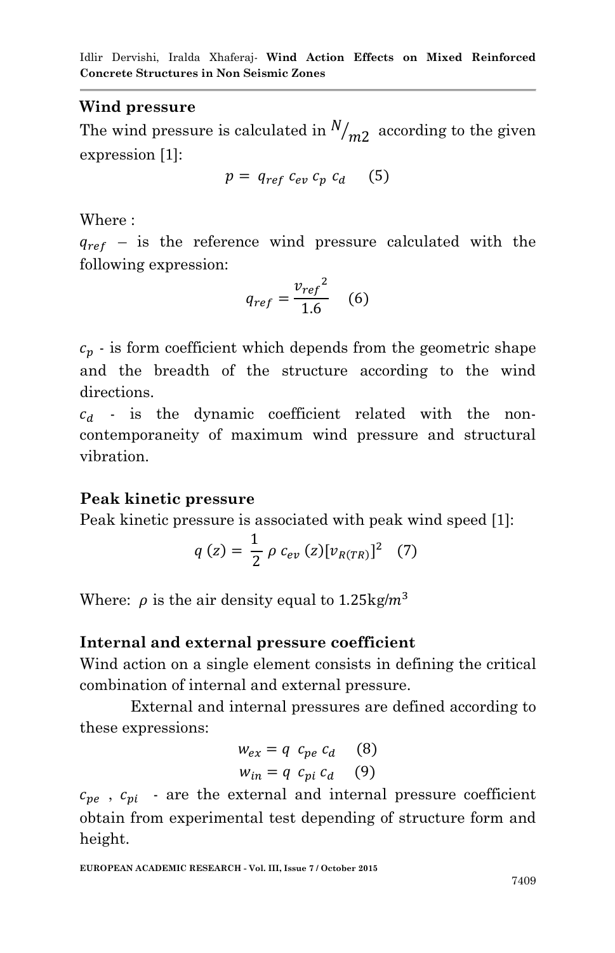## **Wind pressure**

The wind pressure is calculated in  $N_{m2}$  according to the given expression [1]:

$$
p = q_{ref} c_{ev} c_p c_d \quad (5)
$$

Where :

 $q_{ref}$  – is the reference wind pressure calculated with the following expression:

$$
q_{ref} = \frac{v_{ref}^2}{1.6} \quad (6)
$$

 $c_p$  - is form coefficient which depends from the geometric shape and the breadth of the structure according to the wind directions.

 $c_d$  - is the dynamic coefficient related with the noncontemporaneity of maximum wind pressure and structural vibration.

## **Peak kinetic pressure**

Peak kinetic pressure is associated with peak wind speed [1]:

$$
q(z) = \frac{1}{2} \rho c_{ev}(z) [v_{R(TR)}]^2 \quad (7)
$$

Where:  $\rho$  is the air density equal to 1.25 kg/m<sup>3</sup>

## **Internal and external pressure coefficient**

Wind action on a single element consists in defining the critical combination of internal and external pressure.

External and internal pressures are defined according to these expressions:

$$
w_{ex} = q c_{pe} c_d
$$
 (8)  

$$
w_{in} = q c_{pi} c_d
$$
 (9)

 $c_{pe}$ ,  $c_{pi}$  - are the external and internal pressure coefficient obtain from experimental test depending of structure form and height.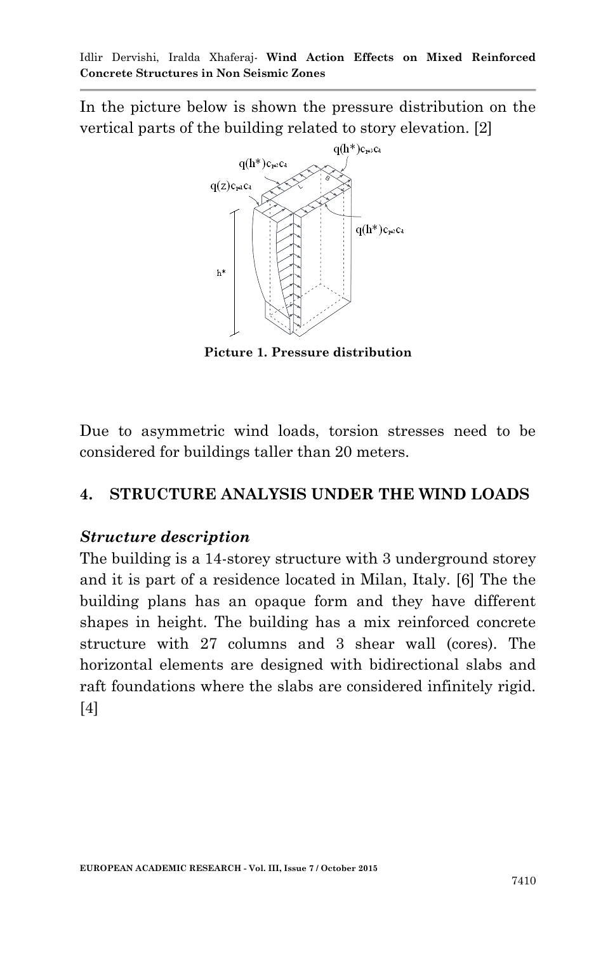In the picture below is shown the pressure distribution on the vertical parts of the building related to story elevation. [2]



**Picture 1. Pressure distribution**

Due to asymmetric wind loads, torsion stresses need to be considered for buildings taller than 20 meters.

# **4. STRUCTURE ANALYSIS UNDER THE WIND LOADS**

## *Structure description*

The building is a 14-storey structure with 3 underground storey and it is part of a residence located in Milan, Italy. [6] The the building plans has an opaque form and they have different shapes in height. The building has a mix reinforced concrete structure with 27 columns and 3 shear wall (cores). The horizontal elements are designed with bidirectional slabs and raft foundations where the slabs are considered infinitely rigid. [4]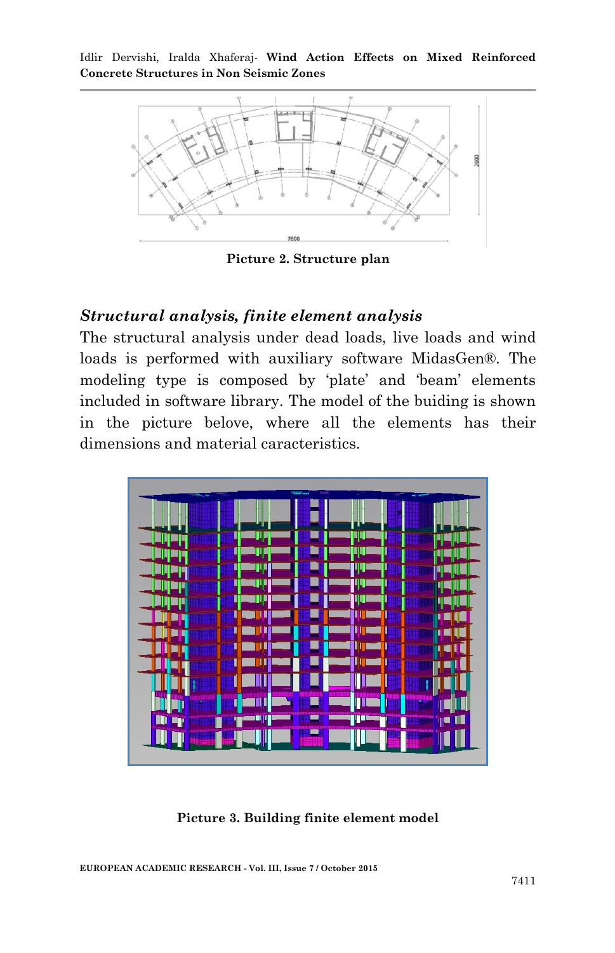

**Picture 2. Structure plan**

### *Structural analysis, finite element analysis*

The structural analysis under dead loads, live loads and wind loads is performed with auxiliary software MidasGen®. The modeling type is composed by "plate" and "beam" elements included in software library. The model of the buiding is shown in the picture belove, where all the elements has their dimensions and material caracteristics.



**Picture 3. Building finite element model**

**EUROPEAN ACADEMIC RESEARCH - Vol. III, Issue 7 / October 2015**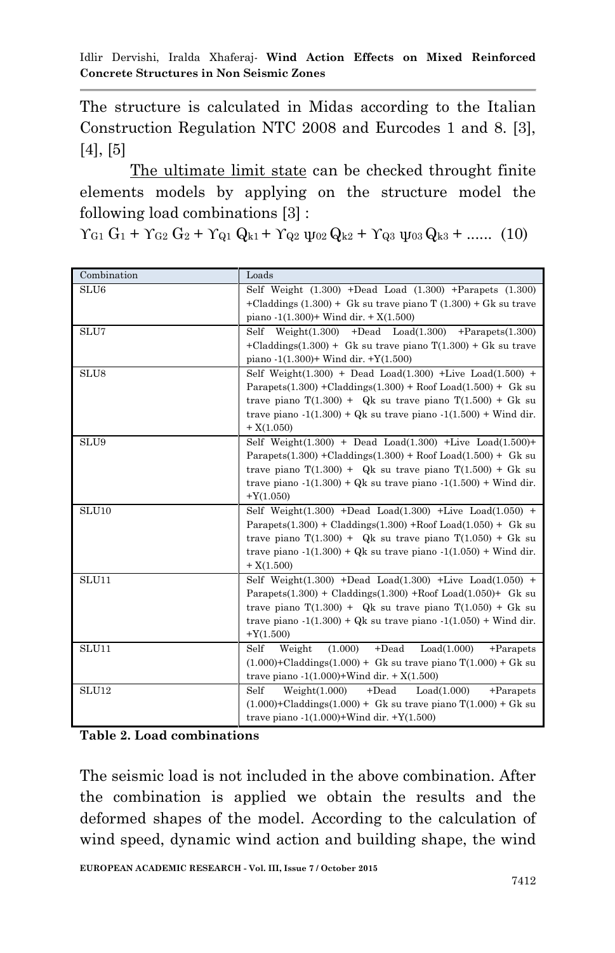The structure is calculated in Midas according to the Italian Construction Regulation NTC 2008 and Eurcodes 1 and 8. [3], [4], [5]

The ultimate limit state can be checked throught finite elements models by applying on the structure model the following load combinations [3] :

 $\gamma_{G1} G_1 + \gamma_{G2} G_2 + \gamma_{Q1} Q_{k1} + \gamma_{Q2} \psi_{02} Q_{k2} + \gamma_{Q3} \psi_{03} Q_{k3} + \dots$  (10)

| Combination       | Loads                                                                               |  |  |
|-------------------|-------------------------------------------------------------------------------------|--|--|
| SLU <sub>6</sub>  | Self Weight $(1.300)$ +Dead Load $(1.300)$ +Parapets $(1.300)$                      |  |  |
|                   | +Claddings $(1.300)$ + Gk su trave piano T $(1.300)$ + Gk su trave                  |  |  |
|                   | piano $-1(1.300)$ Wind dir. $+ X(1.500)$                                            |  |  |
| SLU7              | Self Weight $(1.300)$ +Dead Load $(1.300)$ +Parapets $(1.300)$                      |  |  |
|                   | +Claddings(1.300) + Gk su trave piano $T(1.300)$ + Gk su trave                      |  |  |
|                   | piano $-1(1.300)$ + Wind dir. +Y $(1.500)$                                          |  |  |
| SLU <sub>8</sub>  | Self Weight $(1.300)$ + Dead Load $(1.300)$ +Live Load $(1.500)$ +                  |  |  |
|                   | Parapets(1.300) + Claddings(1.300) + Roof Load(1.500) + Gk su                       |  |  |
|                   | trave piano $T(1.300) + Qk$ su trave piano $T(1.500) + Gk$ su                       |  |  |
|                   | trave piano $-1(1.300) + Qk$ su trave piano $-1(1.500) + W$ ind dir.                |  |  |
|                   | $+ X(1.050)$                                                                        |  |  |
| SLU9              | Self Weight $(1.300)$ + Dead Load $(1.300)$ +Live Load $(1.500)$ +                  |  |  |
|                   | Parapets(1.300) + Claddings(1.300) + Roof Load(1.500) + Gk su                       |  |  |
|                   | trave piano $T(1.300) + Qk$ su trave piano $T(1.500) + Gk$ su                       |  |  |
|                   | trave piano $-1(1.300) + Qk$ su trave piano $-1(1.500) + W$ ind dir.                |  |  |
|                   | $+Y(1.050)$                                                                         |  |  |
| SLU <sub>10</sub> | Self Weight $(1.300)$ +Dead Load $(1.300)$ +Live Load $(1.050)$ +                   |  |  |
|                   | Parapets $(1.300)$ + Claddings $(1.300)$ +Roof Load $(1.050)$ + Gk su               |  |  |
|                   | trave piano $T(1.300) + Qk$ su trave piano $T(1.050) + Gk$ su                       |  |  |
|                   | trave piano $-1(1.300) + Qk$ su trave piano $-1(1.050) + Wind$ dir.<br>$+ X(1.500)$ |  |  |
|                   |                                                                                     |  |  |
| SLU11             | Self Weight $(1.300)$ +Dead Load $(1.300)$ +Live Load $(1.050)$ +                   |  |  |
|                   | Parapets $(1.300)$ + Claddings $(1.300)$ +Roof Load $(1.050)$ + Gk su               |  |  |
|                   | trave piano $T(1.300) + Qk$ su trave piano $T(1.050) + Gk$ su                       |  |  |
|                   | trave piano $-1(1.300) + Qk$ su trave piano $-1(1.050) + Wind$ dir.                 |  |  |
|                   | $+Y(1.500)$                                                                         |  |  |
| SLU11             | $+$ Dead<br>Self<br>Weight<br>(1.000)<br>Load(1.000)<br>$+Par$                      |  |  |
|                   | $(1.000)$ +Claddings $(1.000)$ + Gk su trave piano T $(1.000)$ + Gk su              |  |  |
|                   | trave piano $-1(1.000)$ +Wind dir. + X $(1.500)$                                    |  |  |
| SLU12             | $+$ Dead<br>Self<br>Weight(1.000)<br>Load(1.000)<br>$+Parapets$                     |  |  |
|                   | $(1.000)$ +Claddings $(1.000)$ + Gk su trave piano T $(1.000)$ + Gk su              |  |  |
|                   | trave piano $-1(1.000)$ +Wind dir. +Y $(1.500)$                                     |  |  |

#### **Table 2. Load combinations**

The seismic load is not included in the above combination. After the combination is applied we obtain the results and the deformed shapes of the model. According to the calculation of wind speed, dynamic wind action and building shape, the wind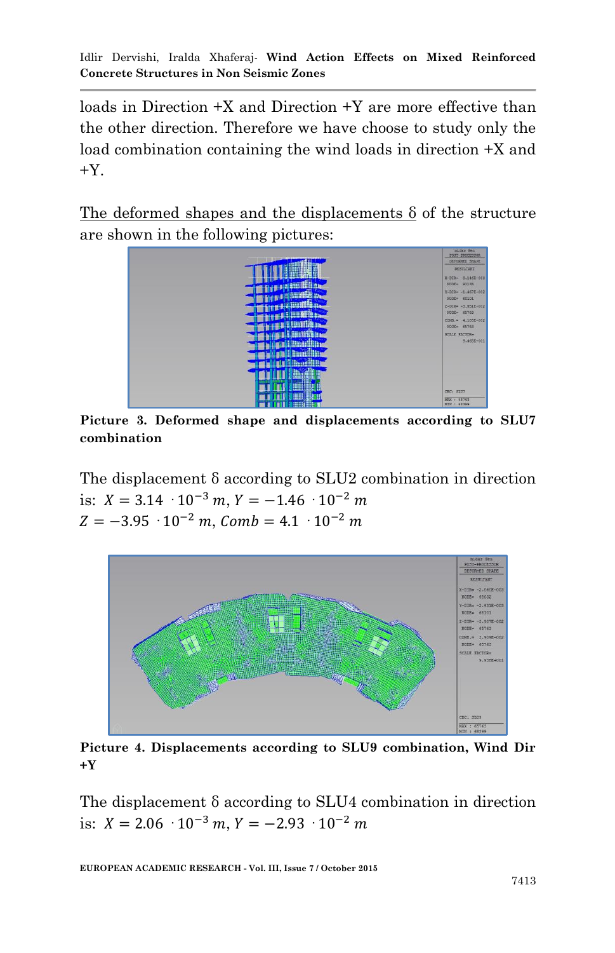loads in Direction +X and Direction +Y are more effective than the other direction. Therefore we have choose to study only the load combination containing the wind loads in direction +X and  $+Y$ .

The deformed shapes and the displacements δ of the structure are shown in the following pictures:



**Picture 3. Deformed shape and displacements according to SLU7 combination**

The displacement δ according to SLU2 combination in direction is:  $X = 3.14 \cdot 10^{-3}$  m,  $Y = -1.46 \cdot 10^{-2}$  m  $Z = -3.95 \cdot 10^{-2} m$ , Comb = 4.1  $\cdot 10^{-2} m$ 



**Picture 4. Displacements according to SLU9 combination, Wind Dir +Y**

The displacement δ according to SLU4 combination in direction is:  $X = 2.06 \cdot 10^{-3}$  m,  $Y = -2.93 \cdot 10^{-2}$  m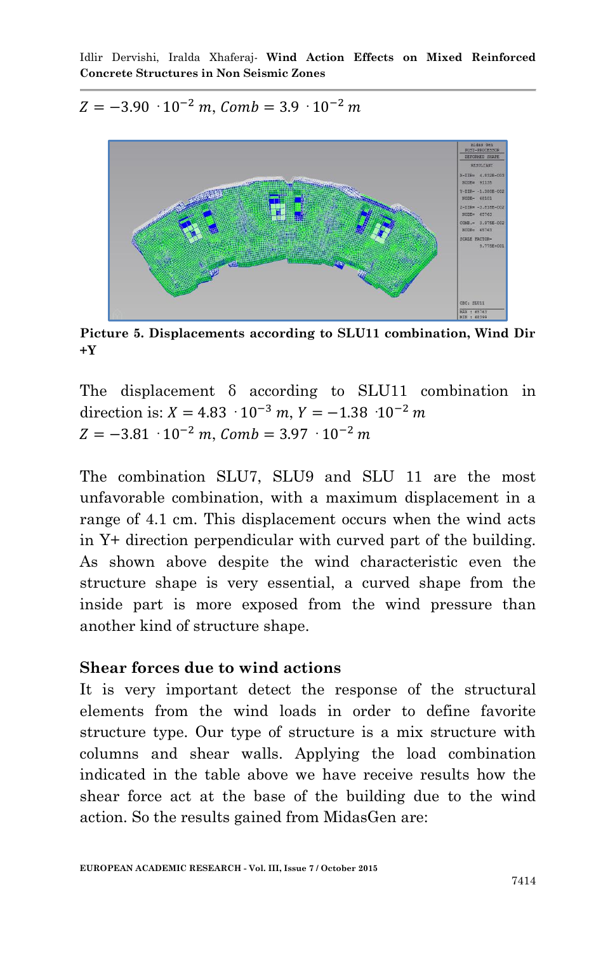$Z = -3.90 \cdot 10^{-2}$  m, Comb = 3.9  $\cdot 10^{-2}$  m



**Picture 5. Displacements according to SLU11 combination, Wind Dir +Y**

The displacement δ according to SLU11 combination in direction is:  $X = 4.83 \cdot 10^{-3}$  m,  $Y = -1.38 \cdot 10^{-2}$  m  $Z = -3.81 \cdot 10^{-2}$  m, Comb = 3.97  $\cdot 10^{-2}$  m

The combination SLU7, SLU9 and SLU 11 are the most unfavorable combination, with a maximum displacement in a range of 4.1 cm. This displacement occurs when the wind acts in Y+ direction perpendicular with curved part of the building. As shown above despite the wind characteristic even the structure shape is very essential, a curved shape from the inside part is more exposed from the wind pressure than another kind of structure shape.

### **Shear forces due to wind actions**

It is very important detect the response of the structural elements from the wind loads in order to define favorite structure type. Our type of structure is a mix structure with columns and shear walls. Applying the load combination indicated in the table above we have receive results how the shear force act at the base of the building due to the wind action. So the results gained from MidasGen are: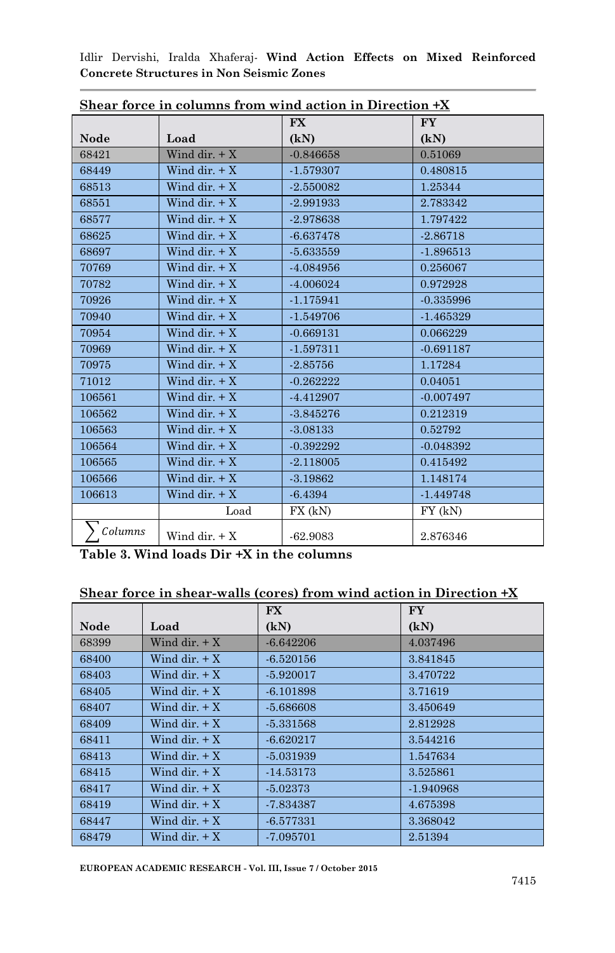|             |                 | Shear force in columns from wind action in Direction $+x$<br><b>FX</b> | <b>FY</b>   |
|-------------|-----------------|------------------------------------------------------------------------|-------------|
| <b>Node</b> | Load            | (kN)                                                                   | (kN)        |
| 68421       | Wind dir. $+X$  | $-0.846658$                                                            | 0.51069     |
| 68449       | Wind dir. $+X$  | $-1.579307$                                                            | 0.480815    |
| 68513       | Wind dir. $+X$  | $-2.550082$                                                            | 1.25344     |
| 68551       | Wind dir. $+X$  | $-2.991933$                                                            | 2.783342    |
| 68577       | Wind dir. $+X$  | $-2.978638$                                                            | 1.797422    |
| 68625       | Wind dir. $+X$  | $-6.637478$                                                            | $-2.86718$  |
| 68697       | Wind dir. $+X$  | $-5.633559$                                                            | $-1.896513$ |
| 70769       | Wind dir. $+X$  | -4.084956                                                              | 0.256067    |
| 70782       | Wind dir. $+X$  | $-4.006024$                                                            | 0.972928    |
| 70926       | Wind dir. $+X$  | $-1.175941$                                                            | $-0.335996$ |
| 70940       | Wind dir. $+X$  | $-1.549706$                                                            | $-1.465329$ |
| 70954       | Wind dir. $+X$  | $-0.669131$                                                            | 0.066229    |
| 70969       | Wind dir. $+X$  | $-1.597311$                                                            | $-0.691187$ |
| 70975       | Wind dir. $+X$  | $-2.85756$                                                             | 1.17284     |
| 71012       | Wind dir. $+X$  | $-0.262222$                                                            | 0.04051     |
| 106561      | Wind dir. $+X$  | $-4.412907$                                                            | $-0.007497$ |
| 106562      | Wind dir. $+X$  | $-3.845276$                                                            | 0.212319    |
| 106563      | Wind dir. $+X$  | $-3.08133$                                                             | 0.52792     |
| 106564      | Wind dir. $+X$  | $-0.392292$                                                            | $-0.048392$ |
| 106565      | Wind dir. $+X$  | $-2.118005$                                                            | 0.415492    |
| 106566      | Wind dir. $+X$  | $-3.19862$                                                             | 1.148174    |
| 106613      | Wind dir. $+ X$ | $-6.4394$                                                              | $-1.449748$ |
|             | Load            | FX (kN)                                                                | $FY$ (kN)   |
| Columns     | Wind dir. $+X$  | $-62.9083$                                                             | 2.876346    |

**Table 3. Wind loads Dir +X in the columns**

### **Shear force in shear-walls (cores) from wind action in Direction +X**

|             |                                                 | <b>FX</b>   | <b>FY</b>   |
|-------------|-------------------------------------------------|-------------|-------------|
| <b>Node</b> | Load                                            | (kN)        | (kN)        |
| 68399       | Wind dir. $+X$                                  | $-6.642206$ | 4.037496    |
| 68400       | Wind dir. $+X$                                  | $-6.520156$ | 3.841845    |
| 68403       | Wind dir. $+X$                                  | $-5.920017$ | 3.470722    |
| 68405       | Wind dir. $+X$                                  | $-6.101898$ | 3.71619     |
| 68407       | Wind dir. $+X$                                  | $-5.686608$ | 3.450649    |
| 68409       | Wind dir. $+X$                                  | $-5.331568$ | 2.812928    |
| 68411       | Wind dir. $+X$                                  | $-6.620217$ | 3.544216    |
| 68413       | Wind dir. $+X$                                  | $-5.031939$ | 1.547634    |
| 68415       | Wind dir. $+X$                                  | $-14.53173$ | 3.525861    |
| 68417       | Wind dir. $+X$                                  | $-5.02373$  | $-1.940968$ |
| 68419       | Wind dir. $+X$                                  | $-7.834387$ | 4.675398    |
| 68447       | $\operatorname{Wind}$ dir. + $\operatorname{X}$ | $-6.577331$ | 3.368042    |
| 68479       | Wind dir. $+X$                                  | $-7.095701$ | 2.51394     |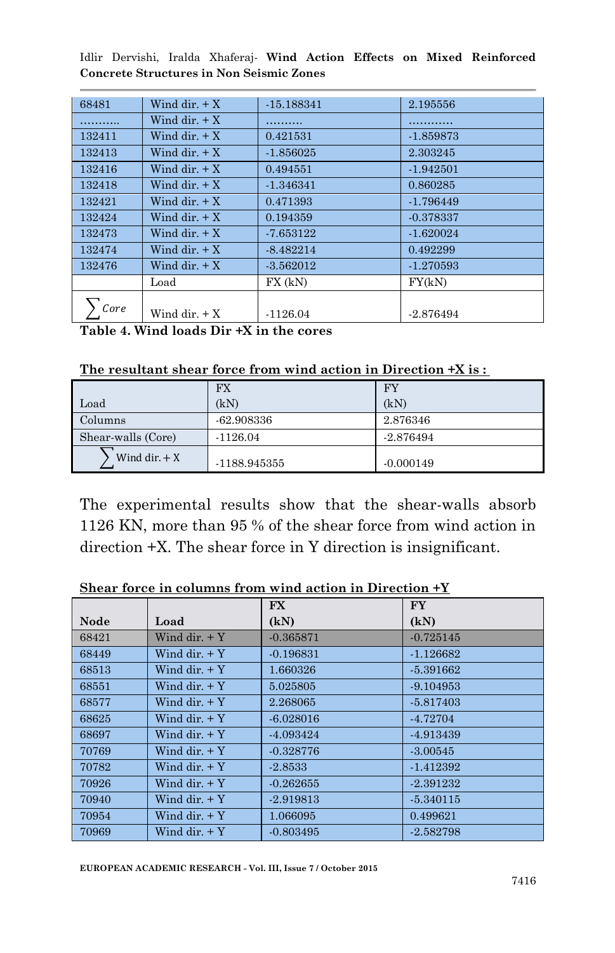| 68481  | Wind dir. $+X$     | $-15.188341$ | 2.195556    |
|--------|--------------------|--------------|-------------|
|        | Wind dir. $+X$     |              |             |
| 132411 | Wind dir. $+X$     | 0.421531     | $-1.859873$ |
| 132413 | Wind dir. $+X$     | $-1.856025$  | 2.303245    |
| 132416 | Wind dir. $+X$     | 0.494551     | $-1.942501$ |
| 132418 | Wind dir. $+X$     | $-1.346341$  | 0.860285    |
| 132421 | Wind dir. $+X$     | 0.471393     | $-1.796449$ |
| 132424 | $Wind \, dir. + X$ | 0.194359     | $-0.378337$ |
| 132473 | Wind dir. $+X$     | -7.653122    | $-1.620024$ |
| 132474 | Wind dir. $+X$     | $-8.482214$  | 0.492299    |
| 132476 | Wind dir. $+X$     | $-3.562012$  | $-1.270593$ |
|        | Load               | FX (kN)      | FY(kN)      |
| Core   | Wind dir. $+X$     | $-1126.04$   | $-2.876494$ |

**Table 4. Wind loads Dir +X in the cores**

| The resultant shear force from wind action in Direction +X is : |  |  |  |  |  |  |  |  |  |
|-----------------------------------------------------------------|--|--|--|--|--|--|--|--|--|
|-----------------------------------------------------------------|--|--|--|--|--|--|--|--|--|

|                    | <b>FX</b>    | FY          |
|--------------------|--------------|-------------|
| Load               | (kN)         | (kN)        |
| Columns            | $-62.908336$ | 2.876346    |
| Shear-walls (Core) | $-1126.04$   | $-2.876494$ |
| Wind dir. $+ X$    | -1188.945355 | $-0.000149$ |

The experimental results show that the shear-walls absorb 1126 KN, more than 95 % of the shear force from wind action in direction +X. The shear force in Y direction is insignificant.

|       |                    | <b>FX</b>   | <b>FY</b>   |
|-------|--------------------|-------------|-------------|
| Node  | Load               | (kN)        | (kN)        |
| 68421 | Wind dir. $+Y$     | $-0.365871$ | $-0.725145$ |
| 68449 | $Wind \, dir. + Y$ | $-0.196831$ | $-1.126682$ |
| 68513 | Wind dir. $+Y$     | 1.660326    | $-5.391662$ |
| 68551 | Wind dir. $+Y$     | 5.025805    | $-9.104953$ |
| 68577 | Wind dir. $+Y$     | 2.268065    | $-5.817403$ |
| 68625 | Wind dir. $+Y$     | $-6.028016$ | $-4.72704$  |
| 68697 | Wind dir $+Y$      | $-4.093424$ | -4.913439   |
| 70769 | Wind dir. $+Y$     | $-0.328776$ | $-3.00545$  |
| 70782 | Wind dir $+Y$      | $-2.8533$   | $-1.412392$ |
| 70926 | $Wind \, dir. + Y$ | $-0.262655$ | $-2.391232$ |
| 70940 | Wind dir. $+Y$     | $-2.919813$ | $-5.340115$ |
| 70954 | $Wind \, dir. + Y$ | 1.066095    | 0.499621    |
| 70969 | $Wind \, dir. + Y$ | $-0.803495$ | $-2.582798$ |

**Shear force in columns from wind action in Direction +Y**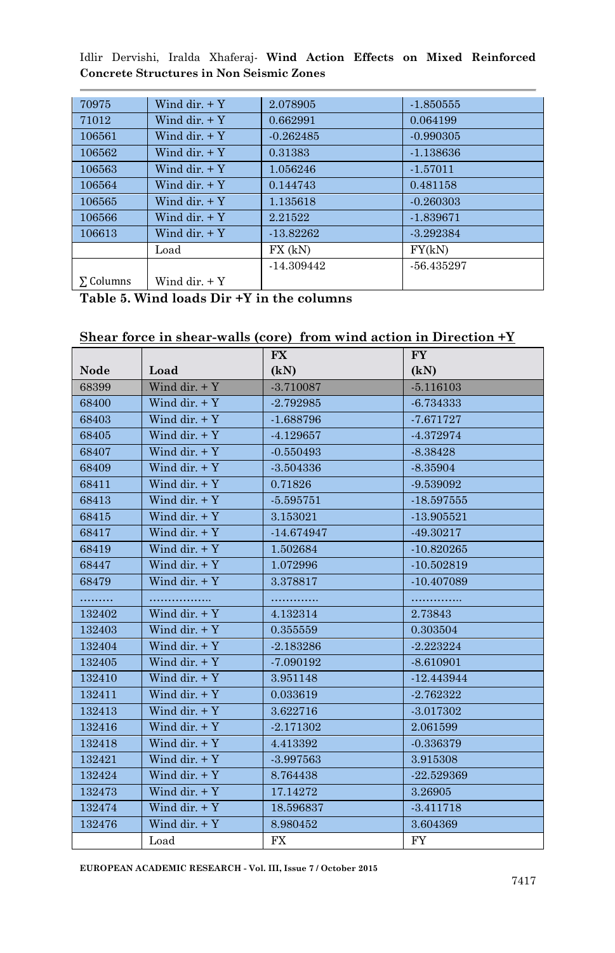| 70975     | Wind dir. $+Y$ | 2.078905    | $-1.850555$ |
|-----------|----------------|-------------|-------------|
| 71012     | Wind dir. $+Y$ | 0.662991    | 0.064199    |
| 106561    | Wind dir. $+Y$ | $-0.262485$ | $-0.990305$ |
| 106562    | Wind dir. $+Y$ | 0.31383     | $-1.138636$ |
| 106563    | Wind dir. $+Y$ | 1.056246    | $-1.57011$  |
| 106564    | Wind dir. $+Y$ | 0.144743    | 0.481158    |
| 106565    | Wind dir $+Y$  | 1.135618    | $-0.260303$ |
| 106566    | Wind dir. $+Y$ | 2.21522     | $-1.839671$ |
| 106613    | Wind dir. $+Y$ | $-13.82262$ | $-3.292384$ |
|           | Load           | $FX$ (kN)   | FY(kN)      |
|           |                | -14.309442  | -56.435297  |
| Σ Columns | Wind dir. $+Y$ |             |             |

**Table 5. Wind loads Dir +Y in the columns**

#### **Shear force in shear-walls (core) from wind action in Direction +Y**

|             |                | FX           | $\mathbf{F}\mathbf{Y}$ |
|-------------|----------------|--------------|------------------------|
| <b>Node</b> | Load           | (kN)         | (kN)                   |
| 68399       | Wind dir. $+Y$ | $-3.710087$  | $-5.116103$            |
| 68400       | Wind dir. $+Y$ | $-2.792985$  | $-6.734333$            |
| 68403       | Wind dir. $+Y$ | $-1.688796$  | $-7.671727$            |
| 68405       | Wind dir. $+Y$ | $-4.129657$  | $-4.372974$            |
| 68407       | Wind dir. $+Y$ | $-0.550493$  | $-8.38428$             |
| 68409       | Wind dir. $+Y$ | $-3.504336$  | $-8.35904$             |
| 68411       | Wind dir. $+Y$ | 0.71826      | -9.539092              |
| 68413       | Wind dir. $+Y$ | $-5.595751$  | $-18.597555$           |
| 68415       | Wind dir. $+Y$ | 3.153021     | $-13.905521$           |
| 68417       | Wind dir. $+Y$ | $-14.674947$ | $-49.30217$            |
| 68419       | Wind dir. $+Y$ | 1.502684     | $-10.820265$           |
| 68447       | Wind dir. $+Y$ | 1.072996     | $-10.502819$           |
| 68479       | Wind dir. $+Y$ | 3.378817     | $-10.407089$           |
| .           | .              | .            | .                      |
| 132402      | Wind dir. $+Y$ | 4.132314     | 2.73843                |
| 132403      | Wind dir. $+Y$ | 0.355559     | 0.303504               |
| 132404      | Wind dir. $+Y$ | $-2.183286$  | $-2.223224$            |
| 132405      | Wind dir. $+Y$ | $-7.090192$  | $-8.610901$            |
| 132410      | Wind dir. $+Y$ | 3.951148     | $-12.443944$           |
| 132411      | Wind dir. $+Y$ | 0.033619     | $-2.762322$            |
| 132413      | Wind dir. $+Y$ | 3.622716     | $-3.017302$            |
| 132416      | Wind dir. $+Y$ | $-2.171302$  | 2.061599               |
| 132418      | Wind dir. $+Y$ | 4.413392     | $-0.336379$            |
| 132421      | Wind dir. $+Y$ | $-3.997563$  | 3.915308               |
| 132424      | Wind dir. $+Y$ | 8.764438     | $-22.529369$           |
| 132473      | Wind dir. $+Y$ | 17.14272     | 3.26905                |
| 132474      | Wind dir. $+Y$ | 18.596837    | $-3.411718$            |
| 132476      | Wind dir. $+Y$ | 8.980452     | 3.604369               |
|             | Load           | FX           | FY                     |

**EUROPEAN ACADEMIC RESEARCH - Vol. III, Issue 7 / October 2015**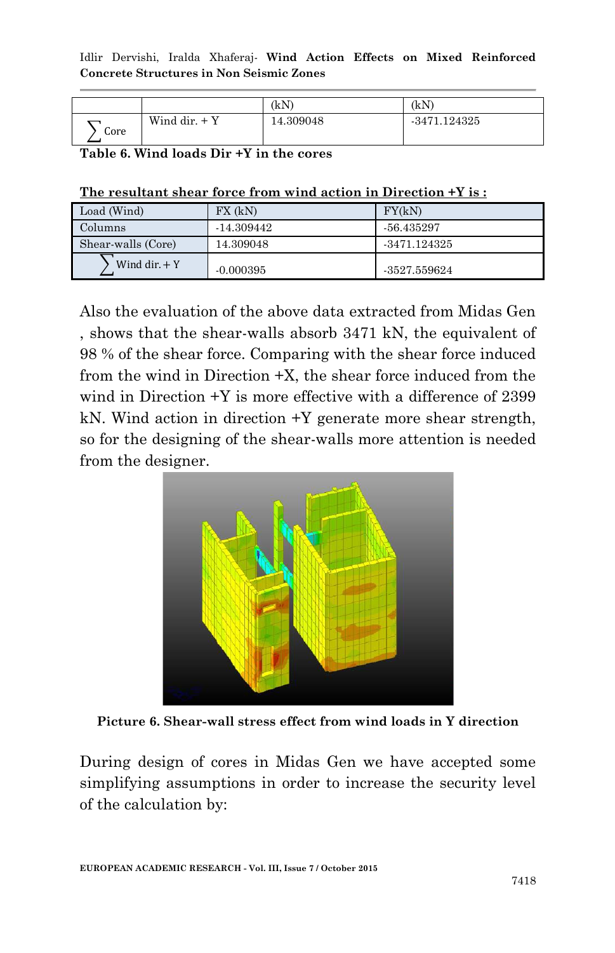|      |                 | (kN)      | (kN)           |
|------|-----------------|-----------|----------------|
| Core | Wind dir. $+$ Y | 14.309048 | $-3471.124325$ |

**Table 6. Wind loads Dir +Y in the cores**

| The resultant shear force from wind action in Direction +Y is: |
|----------------------------------------------------------------|
|----------------------------------------------------------------|

| Load (Wind)        | $FX$ (kN)   | FY(kN)         |
|--------------------|-------------|----------------|
| Columns            | -14.309442  | -56.435297     |
| Shear-walls (Core) | 14.309048   | -3471.124325   |
| Wind dir. $+$ Y    | $-0.000395$ | $-3527.559624$ |

Also the evaluation of the above data extracted from Midas Gen , shows that the shear-walls absorb 3471 kN, the equivalent of 98 % of the shear force. Comparing with the shear force induced from the wind in Direction +X, the shear force induced from the wind in Direction +Y is more effective with a difference of 2399 kN. Wind action in direction +Y generate more shear strength, so for the designing of the shear-walls more attention is needed from the designer.



**Picture 6. Shear-wall stress effect from wind loads in Y direction**

During design of cores in Midas Gen we have accepted some simplifying assumptions in order to increase the security level of the calculation by: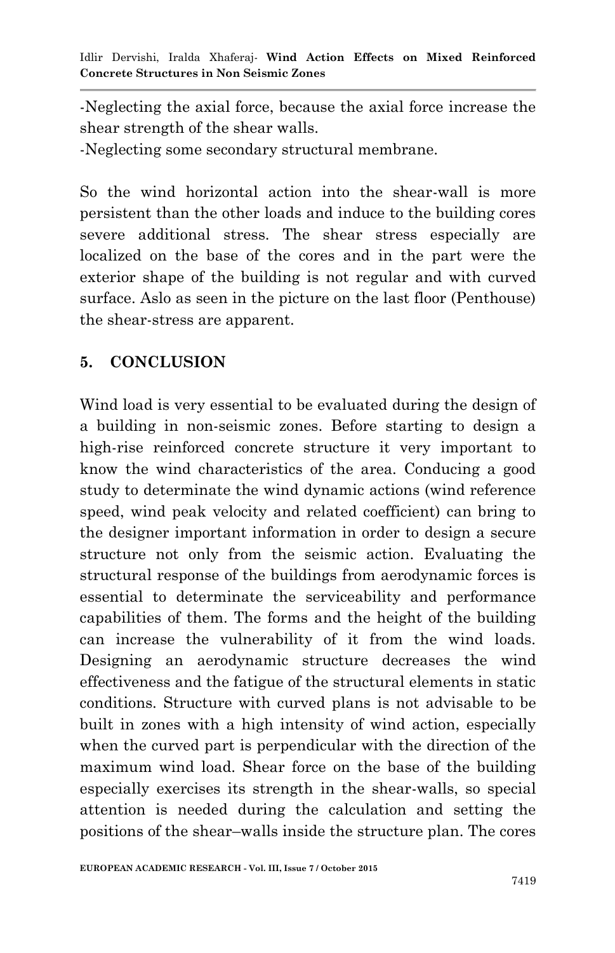-Neglecting the axial force, because the axial force increase the shear strength of the shear walls.

-Neglecting some secondary structural membrane.

So the wind horizontal action into the shear-wall is more persistent than the other loads and induce to the building cores severe additional stress. The shear stress especially are localized on the base of the cores and in the part were the exterior shape of the building is not regular and with curved surface. Aslo as seen in the picture on the last floor (Penthouse) the shear-stress are apparent.

### **5. CONCLUSION**

Wind load is very essential to be evaluated during the design of a building in non-seismic zones. Before starting to design a high-rise reinforced concrete structure it very important to know the wind characteristics of the area. Conducing a good study to determinate the wind dynamic actions (wind reference speed, wind peak velocity and related coefficient) can bring to the designer important information in order to design a secure structure not only from the seismic action. Evaluating the structural response of the buildings from aerodynamic forces is essential to determinate the serviceability and performance capabilities of them. The forms and the height of the building can increase the vulnerability of it from the wind loads. Designing an aerodynamic structure decreases the wind effectiveness and the fatigue of the structural elements in static conditions. Structure with curved plans is not advisable to be built in zones with a high intensity of wind action, especially when the curved part is perpendicular with the direction of the maximum wind load. Shear force on the base of the building especially exercises its strength in the shear-walls, so special attention is needed during the calculation and setting the positions of the shear–walls inside the structure plan. The cores